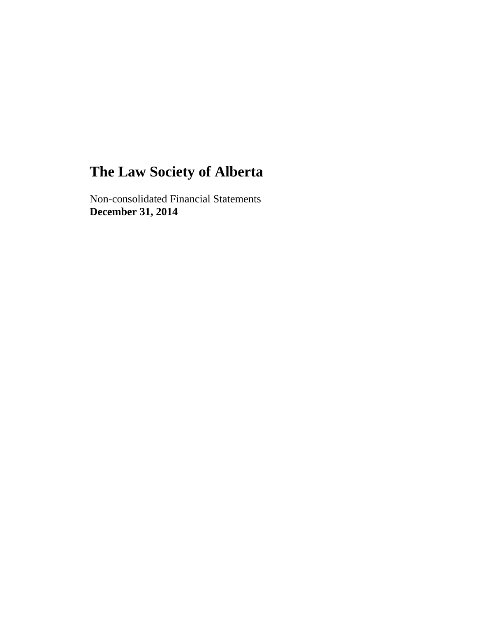Non-consolidated Financial Statements **December 31, 2014**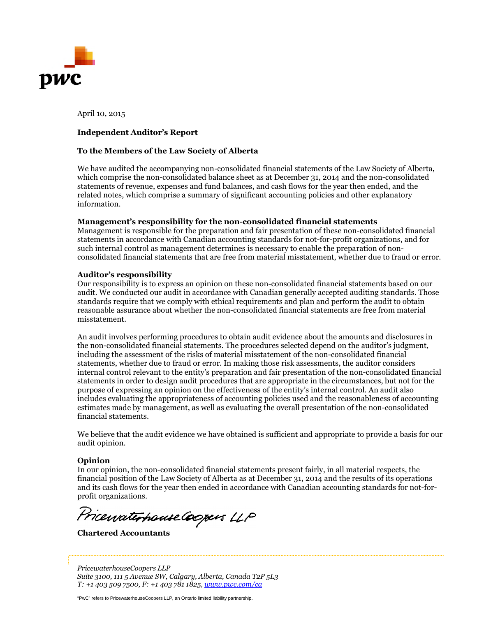

April 10, 2015

#### **Independent Auditor's Report**

#### **To the Members of the Law Society of Alberta**

We have audited the accompanying non-consolidated financial statements of the Law Society of Alberta, which comprise the non-consolidated balance sheet as at December 31, 2014 and the non-consolidated statements of revenue, expenses and fund balances, and cash flows for the year then ended, and the related notes, which comprise a summary of significant accounting policies and other explanatory information.

#### **Management's responsibility for the non-consolidated financial statements**

Management is responsible for the preparation and fair presentation of these non-consolidated financial statements in accordance with Canadian accounting standards for not-for-profit organizations, and for such internal control as management determines is necessary to enable the preparation of nonconsolidated financial statements that are free from material misstatement, whether due to fraud or error.

#### **Auditor's responsibility**

Our responsibility is to express an opinion on these non-consolidated financial statements based on our audit. We conducted our audit in accordance with Canadian generally accepted auditing standards. Those standards require that we comply with ethical requirements and plan and perform the audit to obtain reasonable assurance about whether the non-consolidated financial statements are free from material misstatement.

An audit involves performing procedures to obtain audit evidence about the amounts and disclosures in the non-consolidated financial statements. The procedures selected depend on the auditor's judgment, including the assessment of the risks of material misstatement of the non-consolidated financial statements, whether due to fraud or error. In making those risk assessments, the auditor considers internal control relevant to the entity's preparation and fair presentation of the non-consolidated financial statements in order to design audit procedures that are appropriate in the circumstances, but not for the purpose of expressing an opinion on the effectiveness of the entity's internal control. An audit also includes evaluating the appropriateness of accounting policies used and the reasonableness of accounting estimates made by management, as well as evaluating the overall presentation of the non-consolidated financial statements.

We believe that the audit evidence we have obtained is sufficient and appropriate to provide a basis for our audit opinion.

#### **Opinion**

In our opinion, the non-consolidated financial statements present fairly, in all material respects, the financial position of the Law Society of Alberta as at December 31, 2014 and the results of its operations and its cash flows for the year then ended in accordance with Canadian accounting standards for not-forprofit organizations.

Pricenaterhouse Coopers LLP

**Chartered Accountants**

*PricewaterhouseCoopers LLP Suite 3100, 111 5 Avenue SW, Calgary, Alberta, Canada T2P 5L3 T: +1 403 509 7500, F: +1 403 781 1825, www.pwc.com/ca*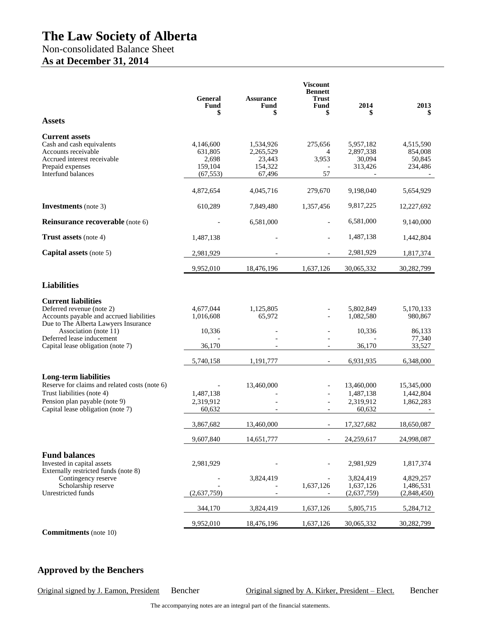# Non-consolidated Balance Sheet **As at December 31, 2014**

|                                                                                                                                                                                                                                        | <b>General</b><br><b>Fund</b><br>\$                   | <b>Assurance</b><br>Fund<br>\$                        | <b>Viscount</b><br><b>Bennett</b><br><b>Trust</b><br>Fund<br>\$ | 2014<br>S                                                        | 2013                                                             |
|----------------------------------------------------------------------------------------------------------------------------------------------------------------------------------------------------------------------------------------|-------------------------------------------------------|-------------------------------------------------------|-----------------------------------------------------------------|------------------------------------------------------------------|------------------------------------------------------------------|
| <b>Assets</b>                                                                                                                                                                                                                          |                                                       |                                                       |                                                                 |                                                                  |                                                                  |
| <b>Current assets</b><br>Cash and cash equivalents<br>Accounts receivable<br>Accrued interest receivable<br>Prepaid expenses<br>Interfund balances                                                                                     | 4,146,600<br>631,805<br>2,698<br>159,104<br>(67, 553) | 1,534,926<br>2,265,529<br>23,443<br>154,322<br>67,496 | 275,656<br>4<br>3,953<br>57                                     | 5,957,182<br>2,897,338<br>30,094<br>313,426                      | 4,515,590<br>854,008<br>50,845<br>234,486                        |
|                                                                                                                                                                                                                                        | 4,872,654                                             | 4,045,716                                             | 279,670                                                         | 9,198,040                                                        | 5,654,929                                                        |
| <b>Investments</b> (note 3)                                                                                                                                                                                                            | 610,289                                               | 7,849,480                                             | 1,357,456                                                       | 9,817,225                                                        | 12,227,692                                                       |
| Reinsurance recoverable (note 6)                                                                                                                                                                                                       |                                                       | 6,581,000                                             |                                                                 | 6,581,000                                                        | 9,140,000                                                        |
| Trust assets (note 4)                                                                                                                                                                                                                  | 1,487,138                                             |                                                       |                                                                 | 1,487,138                                                        | 1,442,804                                                        |
| Capital assets (note 5)                                                                                                                                                                                                                | 2,981,929                                             |                                                       |                                                                 | 2,981,929                                                        | 1,817,374                                                        |
|                                                                                                                                                                                                                                        | 9,952,010                                             | 18,476,196                                            | 1,637,126                                                       | 30,065,332                                                       | 30,282,799                                                       |
| <b>Liabilities</b>                                                                                                                                                                                                                     |                                                       |                                                       |                                                                 |                                                                  |                                                                  |
| <b>Current liabilities</b><br>Deferred revenue (note 2)<br>Accounts payable and accrued liabilities<br>Due to The Alberta Lawyers Insurance<br>Association (note 11)<br>Deferred lease inducement<br>Capital lease obligation (note 7) | 4,677,044<br>1,016,608<br>10,336<br>36,170            | 1,125,805<br>65,972                                   |                                                                 | 5,802,849<br>1,082,580<br>10,336<br>36,170                       | 5,170,133<br>980,867<br>86,133<br>77,340<br>33,527               |
|                                                                                                                                                                                                                                        | 5,740,158                                             | 1,191,777                                             |                                                                 | 6,931,935                                                        | 6,348,000                                                        |
| <b>Long-term liabilities</b><br>Reserve for claims and related costs (note 6)<br>Trust liabilities (note 4)<br>Pension plan payable (note 9)<br>Capital lease obligation (note 7)                                                      | 1,487,138<br>2,319,912<br>60,632                      | 13,460,000                                            |                                                                 | 13,460,000<br>1,487,138<br>2,319,912<br>60.632                   | 15,345,000<br>1,442,804<br>1,862,283                             |
|                                                                                                                                                                                                                                        | 3,867,682                                             | 13,460,000                                            |                                                                 | 17,327,682                                                       | 18,650,087                                                       |
| <b>Fund balances</b><br>Invested in capital assets<br>Externally restricted funds (note 8)<br>Contingency reserve<br>Scholarship reserve<br>Unrestricted funds                                                                         | 9,607,840<br>2,981,929<br>(2,637,759)                 | 14,651,777<br>3,824,419                               | 1,637,126                                                       | 24,259,617<br>2,981,929<br>3,824,419<br>1,637,126<br>(2,637,759) | 24,998,087<br>1,817,374<br>4,829,257<br>1,486,531<br>(2,848,450) |
|                                                                                                                                                                                                                                        | 344,170                                               | 3,824,419                                             | 1,637,126                                                       | 5,805,715                                                        | 5,284,712                                                        |
|                                                                                                                                                                                                                                        | 9,952,010                                             | 18,476,196                                            | 1,637,126                                                       | 30,065,332                                                       | 30,282,799                                                       |

**Commitments** (note 10)

# **Approved by the Benchers**

Original signed by J. Eamon, President Bencher Original signed by A. Kirker, President – Elect. Bencher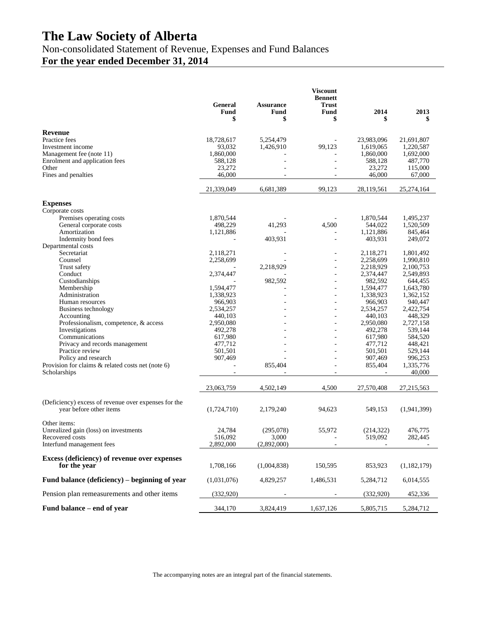Non-consolidated Statement of Revenue, Expenses and Fund Balances

**For the year ended December 31, 2014**

|                                                                                 | <b>General</b><br>Fund | <b>Assurance</b><br>Fund | <b>Viscount</b><br><b>Bennett</b><br><b>Trust</b><br>Fund | 2014                   | 2013                   |
|---------------------------------------------------------------------------------|------------------------|--------------------------|-----------------------------------------------------------|------------------------|------------------------|
|                                                                                 | \$                     | \$                       | \$                                                        | \$                     | \$                     |
| Revenue                                                                         |                        |                          |                                                           |                        |                        |
| Practice fees                                                                   | 18,728,617             | 5,254,479                |                                                           | 23,983,096             | 21,691,807             |
| Investment income                                                               | 93,032                 | 1,426,910                | 99,123                                                    | 1,619,065              | 1,220,587              |
| Management fee (note 11)                                                        | 1,860,000              |                          |                                                           | 1,860,000              | 1,692,000<br>487,770   |
| Enrolment and application fees<br>Other                                         | 588,128<br>23,272      |                          |                                                           | 588,128<br>23,272      | 115,000                |
| Fines and penalties                                                             | 46,000                 |                          |                                                           | 46,000                 | 67,000                 |
|                                                                                 | 21,339,049             | 6,681,389                | 99,123                                                    | 28,119,561             | 25,274,164             |
| <b>Expenses</b>                                                                 |                        |                          |                                                           |                        |                        |
| Corporate costs                                                                 |                        |                          |                                                           |                        |                        |
| Premises operating costs                                                        | 1,870,544              |                          |                                                           | 1,870,544              | 1,495,237              |
| General corporate costs                                                         | 498,229                | 41,293                   | 4,500                                                     | 544,022                | 1,520,509              |
| Amortization                                                                    | 1,121,886              |                          |                                                           | 1,121,886              | 845,464                |
| Indemnity bond fees                                                             |                        | 403,931                  | $\overline{a}$                                            | 403,931                | 249,072                |
| Departmental costs                                                              |                        |                          |                                                           |                        |                        |
| Secretariat                                                                     | 2,118,271              |                          | ÷,                                                        | 2,118,271              | 1,801,492              |
| Counsel<br>Trust safety                                                         | 2,258,699              | 2,218,929                | -                                                         | 2,258,699<br>2,218,929 | 1,990,810<br>2,100,753 |
| Conduct                                                                         | 2,374,447              |                          |                                                           | 2,374,447              | 2,549,893              |
| Custodianships                                                                  |                        | 982,592                  | -                                                         | 982,592                | 644,455                |
| Membership                                                                      | 1,594,477              |                          |                                                           | 1,594,477              | 1,643,780              |
| Administration                                                                  | 1,338,923              |                          | ÷,                                                        | 1,338,923              | 1,362,152              |
| Human resources                                                                 | 966,903                |                          |                                                           | 966,903                | 940,447                |
| Business technology                                                             | 2,534,257              |                          | -                                                         | 2,534,257              | 2,422,754              |
| Accounting                                                                      | 440,103                |                          |                                                           | 440,103                | 448,329                |
| Professionalism, competence, & access                                           | 2,950,080              |                          | L,                                                        | 2,950,080              | 2,727,158              |
| Investigations                                                                  | 492,278                |                          |                                                           | 492,278                | 539,144                |
| Communications                                                                  | 617,980                |                          | ä,                                                        | 617,980                | 584,520                |
| Privacy and records management                                                  | 477,712                |                          |                                                           | 477,712                | 448,421                |
| Practice review                                                                 | 501,501                |                          | ä,                                                        | 501,501                | 529,144                |
| Policy and research<br>Provision for claims & related costs net (note 6)        | 907,469                |                          | ÷.                                                        | 907,469                | 996,253                |
| Scholarships                                                                    |                        | 855,404                  |                                                           | 855,404                | 1,335,776<br>40,000    |
|                                                                                 | 23,063,759             | 4,502,149                | 4,500                                                     | 27,570,408             | 27,215,563             |
|                                                                                 |                        |                          |                                                           |                        |                        |
| (Deficiency) excess of revenue over expenses for the<br>year before other items | (1,724,710)            | 2,179,240                | 94,623                                                    | 549,153                | (1,941,399)            |
| Other items:                                                                    |                        |                          |                                                           |                        |                        |
| Unrealized gain (loss) on investments                                           | 24,784                 | (295,078)                | 55,972                                                    | (214, 322)             | 476,775                |
| Recovered costs                                                                 | 516,092                | 3,000                    |                                                           | 519,092                | 282,445                |
| Interfund management fees                                                       | 2,892,000              | (2,892,000)              |                                                           |                        |                        |
| Excess (deficiency) of revenue over expenses<br>for the year                    | 1,708,166              | (1,004,838)              | 150,595                                                   | 853,923                | (1,182,179)            |
| Fund balance (deficiency) – beginning of year                                   | (1,031,076)            | 4,829,257                | 1,486,531                                                 | 5,284,712              | 6,014,555              |
| Pension plan remeasurements and other items                                     | (332,920)              |                          |                                                           | (332,920)              | 452,336                |
| Fund balance – end of year                                                      | 344,170                | 3,824,419                | 1,637,126                                                 | 5,805,715              | 5,284,712              |

The accompanying notes are an integral part of the financial statements.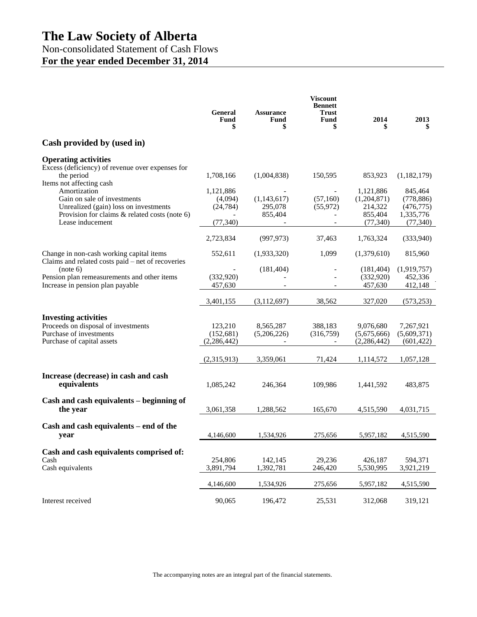# Non-consolidated Statement of Cash Flows **For the year ended December 31, 2014**

|                                                                                                                                                                                       | <b>General</b><br>Fund<br>\$                   | <b>Assurance</b><br>Fund<br>\$    | <b>Viscount</b><br><b>Bennett</b><br><b>Trust</b><br>Fund<br>\$ | 2014<br>\$                                                  | 2013<br>\$                                                    |
|---------------------------------------------------------------------------------------------------------------------------------------------------------------------------------------|------------------------------------------------|-----------------------------------|-----------------------------------------------------------------|-------------------------------------------------------------|---------------------------------------------------------------|
| Cash provided by (used in)                                                                                                                                                            |                                                |                                   |                                                                 |                                                             |                                                               |
| <b>Operating activities</b><br>Excess (deficiency) of revenue over expenses for<br>the period                                                                                         | 1,708,166                                      | (1,004,838)                       | 150,595                                                         | 853,923                                                     | (1,182,179)                                                   |
| Items not affecting cash<br>Amortization<br>Gain on sale of investments<br>Unrealized (gain) loss on investments<br>Provision for claims & related costs (note 6)<br>Lease inducement | 1,121,886<br>(4,094)<br>(24, 784)<br>(77, 340) | (1,143,617)<br>295,078<br>855,404 | (57,160)<br>(55, 972)                                           | 1,121,886<br>(1,204,871)<br>214,322<br>855,404<br>(77, 340) | 845,464<br>(778, 886)<br>(476, 775)<br>1,335,776<br>(77, 340) |
|                                                                                                                                                                                       | 2,723,834                                      | (997, 973)                        | 37,463                                                          | 1,763,324                                                   | (333,940)                                                     |
| Change in non-cash working capital items<br>Claims and related costs paid – net of recoveries                                                                                         | 552,611                                        | (1,933,320)                       | 1,099                                                           | (1,379,610)                                                 | 815,960                                                       |
| (note 6)<br>Pension plan remeasurements and other items<br>Increase in pension plan payable                                                                                           | (332,920)<br>457,630                           | (181, 404)                        |                                                                 | (181, 404)<br>(332,920)<br>457,630                          | (1,919,757)<br>452,336<br>412,148                             |
|                                                                                                                                                                                       | 3,401,155                                      | (3, 112, 697)                     | 38,562                                                          | 327,020                                                     | (573, 253)                                                    |
| <b>Investing activities</b><br>Proceeds on disposal of investments<br>Purchase of investments<br>Purchase of capital assets                                                           | 123,210<br>(152, 681)<br>(2, 286, 442)         | 8,565,287<br>(5,206,226)          | 388,183<br>(316,759)                                            | 9,076,680<br>(5,675,666)<br>(2, 286, 442)                   | 7,267,921<br>(5,609,371)<br>(601, 422)                        |
|                                                                                                                                                                                       | (2,315,913)                                    | 3,359,061                         | 71,424                                                          | 1,114,572                                                   | 1,057,128                                                     |
| Increase (decrease) in cash and cash<br>equivalents                                                                                                                                   | 1,085,242                                      | 246,364                           | 109,986                                                         | 1,441,592                                                   | 483,875                                                       |
| Cash and cash equivalents - beginning of<br>the year                                                                                                                                  | 3,061,358                                      | 1,288,562                         | 165,670                                                         | 4,515,590                                                   | 4,031,715                                                     |
| Cash and cash equivalents – end of the<br>year                                                                                                                                        | 4,146,600                                      | 1,534,926                         | 275.656                                                         | 5,957,182                                                   | 4,515,590                                                     |
| Cash and cash equivalents comprised of:<br>Cash<br>Cash equivalents                                                                                                                   | 254,806<br>3,891,794                           | 142,145<br>1,392,781              | 29,236<br>246,420                                               | 426,187<br>5,530,995                                        | 594,371<br>3,921,219                                          |
|                                                                                                                                                                                       | 4,146,600                                      | 1,534,926                         | 275,656                                                         | 5,957,182                                                   | 4,515,590                                                     |
| Interest received                                                                                                                                                                     | 90,065                                         | 196,472                           | 25,531                                                          | 312,068                                                     | 319,121                                                       |

The accompanying notes are an integral part of the financial statements.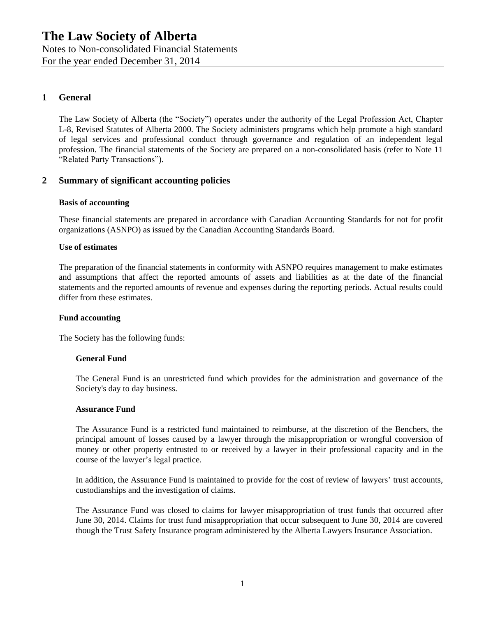Notes to Non-consolidated Financial Statements For the year ended December 31, 2014

# **1 General**

The Law Society of Alberta (the "Society") operates under the authority of the Legal Profession Act, Chapter L-8, Revised Statutes of Alberta 2000. The Society administers programs which help promote a high standard of legal services and professional conduct through governance and regulation of an independent legal profession. The financial statements of the Society are prepared on a non-consolidated basis (refer to Note 11 "Related Party Transactions").

## **2 Summary of significant accounting policies**

### **Basis of accounting**

These financial statements are prepared in accordance with Canadian Accounting Standards for not for profit organizations (ASNPO) as issued by the Canadian Accounting Standards Board.

#### **Use of estimates**

The preparation of the financial statements in conformity with ASNPO requires management to make estimates and assumptions that affect the reported amounts of assets and liabilities as at the date of the financial statements and the reported amounts of revenue and expenses during the reporting periods. Actual results could differ from these estimates.

### **Fund accounting**

The Society has the following funds:

### **General Fund**

The General Fund is an unrestricted fund which provides for the administration and governance of the Society's day to day business.

#### **Assurance Fund**

The Assurance Fund is a restricted fund maintained to reimburse, at the discretion of the Benchers, the principal amount of losses caused by a lawyer through the misappropriation or wrongful conversion of money or other property entrusted to or received by a lawyer in their professional capacity and in the course of the lawyer's legal practice.

In addition, the Assurance Fund is maintained to provide for the cost of review of lawyers' trust accounts, custodianships and the investigation of claims.

The Assurance Fund was closed to claims for lawyer misappropriation of trust funds that occurred after June 30, 2014. Claims for trust fund misappropriation that occur subsequent to June 30, 2014 are covered though the Trust Safety Insurance program administered by the Alberta Lawyers Insurance Association.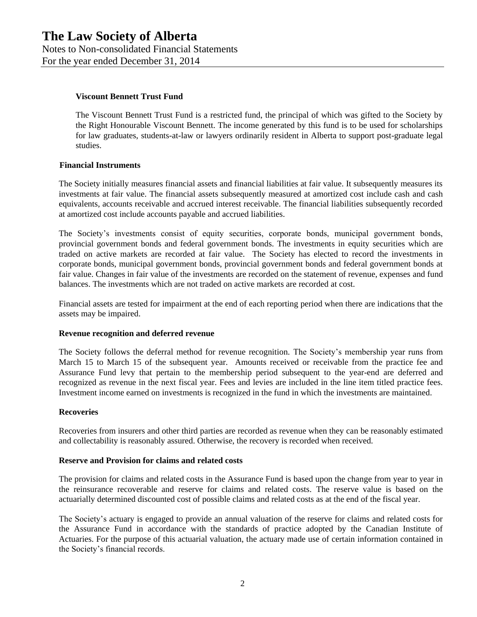For the year ended December 31, 2014

#### **Viscount Bennett Trust Fund**

The Viscount Bennett Trust Fund is a restricted fund, the principal of which was gifted to the Society by the Right Honourable Viscount Bennett. The income generated by this fund is to be used for scholarships for law graduates, students-at-law or lawyers ordinarily resident in Alberta to support post-graduate legal studies.

#### **Financial Instruments**

The Society initially measures financial assets and financial liabilities at fair value. It subsequently measures its investments at fair value. The financial assets subsequently measured at amortized cost include cash and cash equivalents, accounts receivable and accrued interest receivable. The financial liabilities subsequently recorded at amortized cost include accounts payable and accrued liabilities.

The Society's investments consist of equity securities, corporate bonds, municipal government bonds, provincial government bonds and federal government bonds. The investments in equity securities which are traded on active markets are recorded at fair value. The Society has elected to record the investments in corporate bonds, municipal government bonds, provincial government bonds and federal government bonds at fair value. Changes in fair value of the investments are recorded on the statement of revenue, expenses and fund balances. The investments which are not traded on active markets are recorded at cost.

Financial assets are tested for impairment at the end of each reporting period when there are indications that the assets may be impaired.

#### **Revenue recognition and deferred revenue**

The Society follows the deferral method for revenue recognition. The Society's membership year runs from March 15 to March 15 of the subsequent year. Amounts received or receivable from the practice fee and Assurance Fund levy that pertain to the membership period subsequent to the year-end are deferred and recognized as revenue in the next fiscal year. Fees and levies are included in the line item titled practice fees. Investment income earned on investments is recognized in the fund in which the investments are maintained.

#### **Recoveries**

Recoveries from insurers and other third parties are recorded as revenue when they can be reasonably estimated and collectability is reasonably assured. Otherwise, the recovery is recorded when received.

#### **Reserve and Provision for claims and related costs**

The provision for claims and related costs in the Assurance Fund is based upon the change from year to year in the reinsurance recoverable and reserve for claims and related costs. The reserve value is based on the actuarially determined discounted cost of possible claims and related costs as at the end of the fiscal year.

The Society's actuary is engaged to provide an annual valuation of the reserve for claims and related costs for the Assurance Fund in accordance with the standards of practice adopted by the Canadian Institute of Actuaries. For the purpose of this actuarial valuation, the actuary made use of certain information contained in the Society's financial records.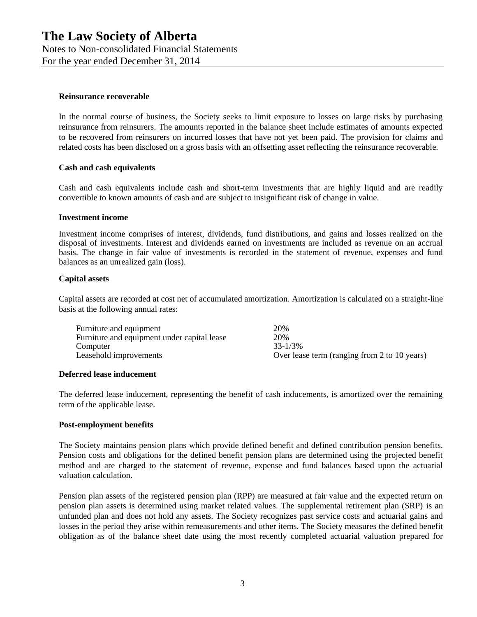# **Reinsurance recoverable**

In the normal course of business, the Society seeks to limit exposure to losses on large risks by purchasing reinsurance from reinsurers. The amounts reported in the balance sheet include estimates of amounts expected to be recovered from reinsurers on incurred losses that have not yet been paid. The provision for claims and related costs has been disclosed on a gross basis with an offsetting asset reflecting the reinsurance recoverable.

### **Cash and cash equivalents**

Cash and cash equivalents include cash and short-term investments that are highly liquid and are readily convertible to known amounts of cash and are subject to insignificant risk of change in value.

### **Investment income**

Investment income comprises of interest, dividends, fund distributions, and gains and losses realized on the disposal of investments. Interest and dividends earned on investments are included as revenue on an accrual basis. The change in fair value of investments is recorded in the statement of revenue, expenses and fund balances as an unrealized gain (loss).

### **Capital assets**

Capital assets are recorded at cost net of accumulated amortization. Amortization is calculated on a straight-line basis at the following annual rates:

| Furniture and equipment                     | 20%                                          |
|---------------------------------------------|----------------------------------------------|
| Furniture and equipment under capital lease | 20%                                          |
| Computer                                    | $33 - 1/3\%$                                 |
| Leasehold improvements                      | Over lease term (ranging from 2 to 10 years) |

### **Deferred lease inducement**

The deferred lease inducement, representing the benefit of cash inducements, is amortized over the remaining term of the applicable lease.

### **Post-employment benefits**

The Society maintains pension plans which provide defined benefit and defined contribution pension benefits. Pension costs and obligations for the defined benefit pension plans are determined using the projected benefit method and are charged to the statement of revenue, expense and fund balances based upon the actuarial valuation calculation.

Pension plan assets of the registered pension plan (RPP) are measured at fair value and the expected return on pension plan assets is determined using market related values. The supplemental retirement plan (SRP) is an unfunded plan and does not hold any assets. The Society recognizes past service costs and actuarial gains and losses in the period they arise within remeasurements and other items. The Society measures the defined benefit obligation as of the balance sheet date using the most recently completed actuarial valuation prepared for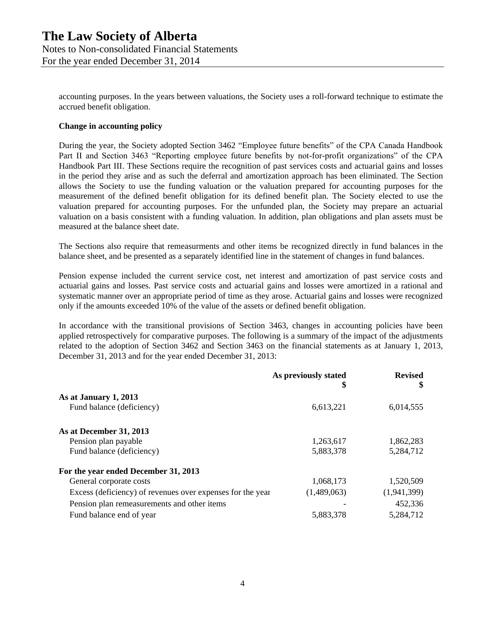accounting purposes. In the years between valuations, the Society uses a roll-forward technique to estimate the accrued benefit obligation.

## **Change in accounting policy**

During the year, the Society adopted Section 3462 "Employee future benefits" of the CPA Canada Handbook Part II and Section 3463 "Reporting employee future benefits by not-for-profit organizations" of the CPA Handbook Part III. These Sections require the recognition of past services costs and actuarial gains and losses in the period they arise and as such the deferral and amortization approach has been eliminated. The Section allows the Society to use the funding valuation or the valuation prepared for accounting purposes for the measurement of the defined benefit obligation for its defined benefit plan. The Society elected to use the valuation prepared for accounting purposes. For the unfunded plan, the Society may prepare an actuarial valuation on a basis consistent with a funding valuation. In addition, plan obligations and plan assets must be measured at the balance sheet date.

The Sections also require that remeasurments and other items be recognized directly in fund balances in the balance sheet, and be presented as a separately identified line in the statement of changes in fund balances.

Pension expense included the current service cost, net interest and amortization of past service costs and actuarial gains and losses. Past service costs and actuarial gains and losses were amortized in a rational and systematic manner over an appropriate period of time as they arose. Actuarial gains and losses were recognized only if the amounts exceeded 10% of the value of the assets or defined benefit obligation.

In accordance with the transitional provisions of Section 3463, changes in accounting policies have been applied retrospectively for comparative purposes. The following is a summary of the impact of the adjustments related to the adoption of Section 3462 and Section 3463 on the financial statements as at January 1, 2013, December 31, 2013 and for the year ended December 31, 2013:

|                                                            | As previously stated<br>\$ | <b>Revised</b><br>\$ |
|------------------------------------------------------------|----------------------------|----------------------|
| As at January 1, 2013                                      |                            |                      |
| Fund balance (deficiency)                                  | 6,613,221                  | 6,014,555            |
| As at December 31, 2013                                    |                            |                      |
| Pension plan payable                                       | 1,263,617                  | 1,862,283            |
| Fund balance (deficiency)                                  | 5,883,378                  | 5,284,712            |
| For the year ended December 31, 2013                       |                            |                      |
| General corporate costs                                    | 1,068,173                  | 1,520,509            |
| Excess (deficiency) of revenues over expenses for the year | (1,489,063)                | (1,941,399)          |
| Pension plan remeasurements and other items                |                            | 452,336              |
| Fund balance end of year                                   | 5,883,378                  | 5,284,712            |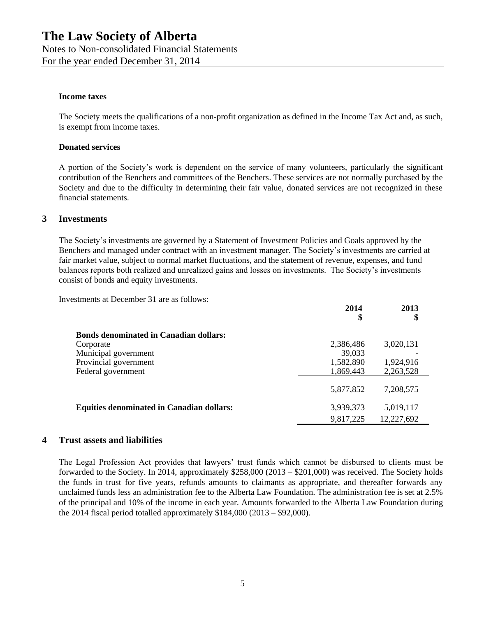Notes to Non-consolidated Financial Statements

For the year ended December 31, 2014

## **Income taxes**

The Society meets the qualifications of a non-profit organization as defined in the Income Tax Act and, as such, is exempt from income taxes.

## **Donated services**

A portion of the Society's work is dependent on the service of many volunteers, particularly the significant contribution of the Benchers and committees of the Benchers. These services are not normally purchased by the Society and due to the difficulty in determining their fair value, donated services are not recognized in these financial statements.

# **3 Investments**

The Society's investments are governed by a Statement of Investment Policies and Goals approved by the Benchers and managed under contract with an investment manager. The Society's investments are carried at fair market value, subject to normal market fluctuations, and the statement of revenue, expenses, and fund balances reports both realized and unrealized gains and losses on investments. The Society's investments consist of bonds and equity investments.

Investments at December 31 are as follows:

|                                                  | 2014<br>\$ | 2013<br>\$ |
|--------------------------------------------------|------------|------------|
| <b>Bonds denominated in Canadian dollars:</b>    |            |            |
| Corporate                                        | 2,386,486  | 3,020,131  |
| Municipal government                             | 39,033     |            |
| Provincial government                            | 1,582,890  | 1,924,916  |
| Federal government                               | 1,869,443  | 2,263,528  |
|                                                  | 5,877,852  | 7,208,575  |
| <b>Equities denominated in Canadian dollars:</b> | 3,939,373  | 5,019,117  |
|                                                  | 9,817,225  | 12,227,692 |

# **4 Trust assets and liabilities**

The Legal Profession Act provides that lawyers' trust funds which cannot be disbursed to clients must be forwarded to the Society. In 2014, approximately \$258,000 (2013 – \$201,000) was received. The Society holds the funds in trust for five years, refunds amounts to claimants as appropriate, and thereafter forwards any unclaimed funds less an administration fee to the Alberta Law Foundation. The administration fee is set at 2.5% of the principal and 10% of the income in each year. Amounts forwarded to the Alberta Law Foundation during the 2014 fiscal period totalled approximately \$184,000 (2013 – \$92,000).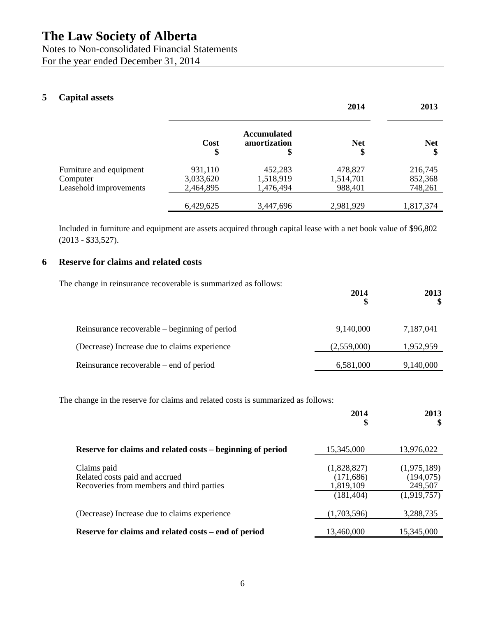Notes to Non-consolidated Financial Statements For the year ended December 31, 2014

# **5 Capital assets**

|                         |            |                                          | 2014             | 2013             |
|-------------------------|------------|------------------------------------------|------------------|------------------|
|                         | Cost<br>\$ | <b>Accumulated</b><br>amortization<br>\$ | <b>Net</b><br>\$ | <b>Net</b><br>\$ |
| Furniture and equipment | 931,110    | 452,283                                  | 478,827          | 216,745          |
| Computer                | 3,033,620  | 1,518,919                                | 1,514,701        | 852,368          |
| Leasehold improvements  | 2,464,895  | 1,476,494                                | 988,401          | 748,261          |
|                         | 6,429,625  | 3,447,696                                | 2,981,929        | 1,817,374        |

Included in furniture and equipment are assets acquired through capital lease with a net book value of \$96,802 (2013 - \$33,527).

# **6 Reserve for claims and related costs**

| The change in reinsurance recoverable is summarized as follows: | 2014        | 2013<br><sup>\$</sup> |
|-----------------------------------------------------------------|-------------|-----------------------|
| Reinsurance recoverable – beginning of period                   | 9,140,000   | 7,187,041             |
| (Decrease) Increase due to claims experience                    | (2,559,000) | 1,952,959             |
| Reinsurance recoverable – end of period                         | 6,581,000   | 9,140,000             |

The change in the reserve for claims and related costs is summarized as follows:

|                                                                                            | 2014<br>\$                             | 2013                                 |
|--------------------------------------------------------------------------------------------|----------------------------------------|--------------------------------------|
| Reserve for claims and related costs – beginning of period                                 | 15,345,000                             | 13,976,022                           |
| Claims paid<br>Related costs paid and accrued<br>Recoveries from members and third parties | (1,828,827)<br>(171, 686)<br>1,819,109 | (1,975,189)<br>(194, 075)<br>249,507 |
| (Decrease) Increase due to claims experience                                               | (181, 404)<br>(1,703,596)              | (1,919,757)<br>3,288,735             |
| Reserve for claims and related costs – end of period                                       | 13.460.000                             | 15.345.000                           |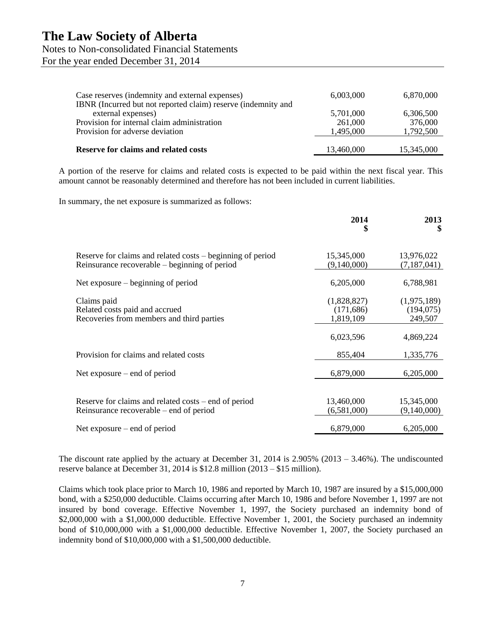Notes to Non-consolidated Financial Statements

For the year ended December 31, 2014

| Case reserves (indemnity and external expenses)<br>IBNR (Incurred but not reported claim) reserve (indemnity and | 6,003,000  | 6,870,000  |
|------------------------------------------------------------------------------------------------------------------|------------|------------|
| external expenses)                                                                                               | 5,701,000  | 6,306,500  |
| Provision for internal claim administration                                                                      | 261,000    | 376,000    |
| Provision for adverse deviation                                                                                  | 1,495,000  | 1,792,500  |
| <b>Reserve for claims and related costs</b>                                                                      | 13,460,000 | 15,345,000 |
|                                                                                                                  |            |            |

A portion of the reserve for claims and related costs is expected to be paid within the next fiscal year. This amount cannot be reasonably determined and therefore has not been included in current liabilities.

In summary, the net exposure is summarized as follows:

|                                                                                                             | 2014<br>\$                             | 2013<br>\$                           |
|-------------------------------------------------------------------------------------------------------------|----------------------------------------|--------------------------------------|
| Reserve for claims and related costs – beginning of period<br>Reinsurance recoverable – beginning of period | 15,345,000<br>(9,140,000)              | 13,976,022<br>(7,187,041)            |
| Net exposure $-$ beginning of period                                                                        | 6,205,000                              | 6,788,981                            |
| Claims paid<br>Related costs paid and accrued<br>Recoveries from members and third parties                  | (1,828,827)<br>(171, 686)<br>1,819,109 | (1,975,189)<br>(194, 075)<br>249,507 |
|                                                                                                             | 6,023,596                              | 4,869,224                            |
| Provision for claims and related costs                                                                      | 855,404                                | 1,335,776                            |
| Net exposure $-$ end of period                                                                              | 6,879,000                              | 6,205,000                            |
| Reserve for claims and related costs – end of period<br>Reinsurance recoverable – end of period             | 13,460,000<br>(6,581,000)              | 15,345,000<br>(9,140,000)            |
| Net exposure $-$ end of period                                                                              | 6,879,000                              | 6,205,000                            |

The discount rate applied by the actuary at December 31, 2014 is  $2.905\%$  (2013 – 3.46%). The undiscounted reserve balance at December 31, 2014 is \$12.8 million (2013 – \$15 million).

Claims which took place prior to March 10, 1986 and reported by March 10, 1987 are insured by a \$15,000,000 bond, with a \$250,000 deductible. Claims occurring after March 10, 1986 and before November 1, 1997 are not insured by bond coverage. Effective November 1, 1997, the Society purchased an indemnity bond of \$2,000,000 with a \$1,000,000 deductible. Effective November 1, 2001, the Society purchased an indemnity bond of \$10,000,000 with a \$1,000,000 deductible. Effective November 1, 2007, the Society purchased an indemnity bond of \$10,000,000 with a \$1,500,000 deductible.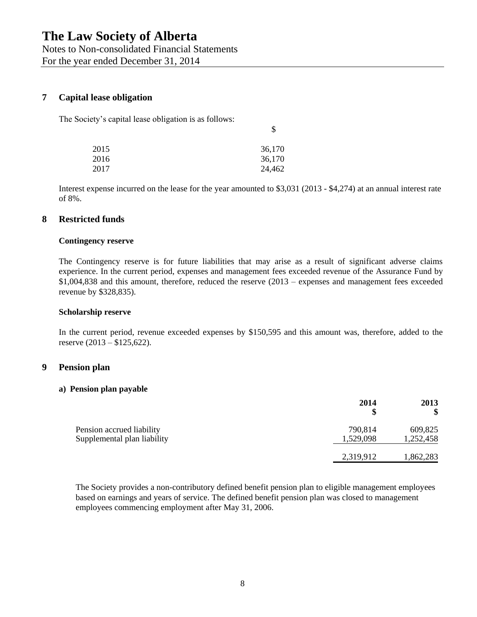Notes to Non-consolidated Financial Statements For the year ended December 31, 2014

# **7 Capital lease obligation**

The Society's capital lease obligation is as follows:

| 2015 | 36,170 |
|------|--------|
| 2016 | 36,170 |
| 2017 | 24,462 |

Interest expense incurred on the lease for the year amounted to \$3,031 (2013 - \$4,274) at an annual interest rate of 8%.

\$

## **8 Restricted funds**

#### **Contingency reserve**

The Contingency reserve is for future liabilities that may arise as a result of significant adverse claims experience. In the current period, expenses and management fees exceeded revenue of the Assurance Fund by \$1,004,838 and this amount, therefore, reduced the reserve (2013 – expenses and management fees exceeded revenue by \$328,835).

#### **Scholarship reserve**

In the current period, revenue exceeded expenses by \$150,595 and this amount was, therefore, added to the reserve (2013 – \$125,622).

### **9 Pension plan**

#### **a) Pension plan payable**

|                                                          | 2014<br>\$           | 2013<br>\$           |
|----------------------------------------------------------|----------------------|----------------------|
| Pension accrued liability<br>Supplemental plan liability | 790,814<br>1,529,098 | 609,825<br>1,252,458 |
|                                                          | 2,319,912            | 1,862,283            |

The Society provides a non-contributory defined benefit pension plan to eligible management employees based on earnings and years of service. The defined benefit pension plan was closed to management employees commencing employment after May 31, 2006.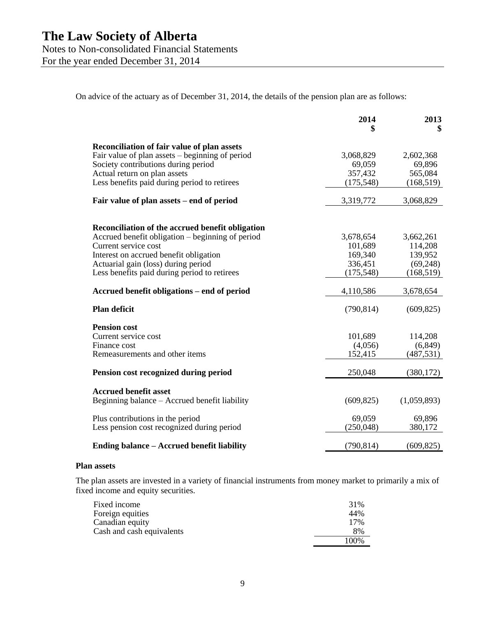Notes to Non-consolidated Financial Statements

For the year ended December 31, 2014

On advice of the actuary as of December 31, 2014, the details of the pension plan are as follows:

|                                                                               | 2014               | 2013<br>\$         |
|-------------------------------------------------------------------------------|--------------------|--------------------|
| <b>Reconciliation of fair value of plan assets</b>                            |                    |                    |
| Fair value of plan assets – beginning of period                               | 3,068,829          | 2,602,368          |
| Society contributions during period                                           | 69,059             | 69,896             |
| Actual return on plan assets                                                  | 357,432            | 565,084            |
| Less benefits paid during period to retirees                                  | (175, 548)         | (168, 519)         |
| Fair value of plan assets – end of period                                     | 3,319,772          | 3,068,829          |
|                                                                               |                    |                    |
| Reconciliation of the accrued benefit obligation                              |                    |                    |
| Accrued benefit obligation - beginning of period<br>Current service cost      | 3,678,654          | 3,662,261          |
| Interest on accrued benefit obligation                                        | 101,689<br>169,340 | 114,208<br>139,952 |
| Actuarial gain (loss) during period                                           | 336,451            | (69, 248)          |
| Less benefits paid during period to retirees                                  | (175, 548)         | (168, 519)         |
|                                                                               |                    |                    |
| Accrued benefit obligations – end of period                                   | 4,110,586          | 3,678,654          |
| <b>Plan deficit</b>                                                           | (790, 814)         | (609, 825)         |
| <b>Pension cost</b>                                                           |                    |                    |
| Current service cost                                                          | 101,689            | 114,208            |
| Finance cost                                                                  | (4,056)            | (6, 849)           |
| Remeasurements and other items                                                | 152,415            | (487, 531)         |
| Pension cost recognized during period                                         | 250,048            | (380, 172)         |
|                                                                               |                    |                    |
| <b>Accrued benefit asset</b><br>Beginning balance – Accrued benefit liability | (609, 825)         | (1,059,893)        |
| Plus contributions in the period                                              | 69,059             | 69,896             |
| Less pension cost recognized during period                                    | (250, 048)         | 380,172            |
| Ending balance – Accrued benefit liability                                    | (790, 814)         | (609, 825)         |

#### **Plan assets**

The plan assets are invested in a variety of financial instruments from money market to primarily a mix of fixed income and equity securities.

| Fixed income              | 31%   |
|---------------------------|-------|
| Foreign equities          | 44%   |
| Canadian equity           | 17%   |
| Cash and cash equivalents | 8%    |
|                           | 100\% |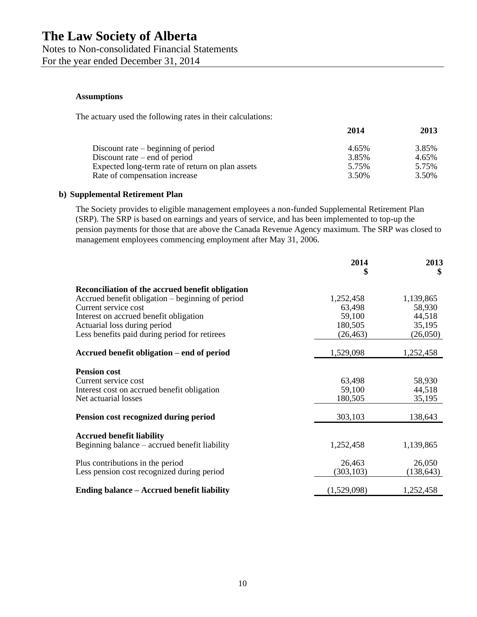Notes to Non-consolidated Financial Statements For the year ended December 31, 2014

#### **Assumptions**

The actuary used the following rates in their calculations:

|                                                  | 2014  | 2013  |
|--------------------------------------------------|-------|-------|
| Discount rate $-$ beginning of period            | 4.65% | 3.85% |
| Discount rate $-$ end of period                  | 3.85% | 4.65% |
| Expected long-term rate of return on plan assets | 5.75% | 5.75% |
| Rate of compensation increase                    | 3.50% | 3.50% |

#### **b) Supplemental Retirement Plan**

The Society provides to eligible management employees a non-funded Supplemental Retirement Plan (SRP). The SRP is based on earnings and years of service, and has been implemented to top-up the pension payments for those that are above the Canada Revenue Agency maximum. The SRP was closed to management employees commencing employment after May 31, 2006.

|                                                  | 2014<br>\$  | 2013<br>\$ |  |
|--------------------------------------------------|-------------|------------|--|
| Reconciliation of the accrued benefit obligation |             |            |  |
| Accrued benefit obligation – beginning of period | 1,252,458   | 1,139,865  |  |
| Current service cost                             | 63,498      | 58,930     |  |
| Interest on accrued benefit obligation           | 59,100      | 44,518     |  |
| Actuarial loss during period                     | 180,505     | 35,195     |  |
| Less benefits paid during period for retirees    | (26, 463)   | (26,050)   |  |
| Accrued benefit obligation – end of period       | 1,529,098   | 1,252,458  |  |
| <b>Pension cost</b>                              |             |            |  |
| Current service cost                             | 63,498      | 58,930     |  |
| Interest cost on accrued benefit obligation      | 59,100      | 44,518     |  |
| Net actuarial losses                             | 180,505     | 35,195     |  |
| Pension cost recognized during period            | 303,103     | 138,643    |  |
|                                                  |             |            |  |
| <b>Accrued benefit liability</b>                 |             |            |  |
| Beginning balance – accrued benefit liability    | 1,252,458   | 1,139,865  |  |
| Plus contributions in the period                 | 26,463      | 26,050     |  |
| Less pension cost recognized during period       | (303, 103)  | (138, 643) |  |
|                                                  |             |            |  |
| Ending balance - Accrued benefit liability       | (1,529,098) | 1,252,458  |  |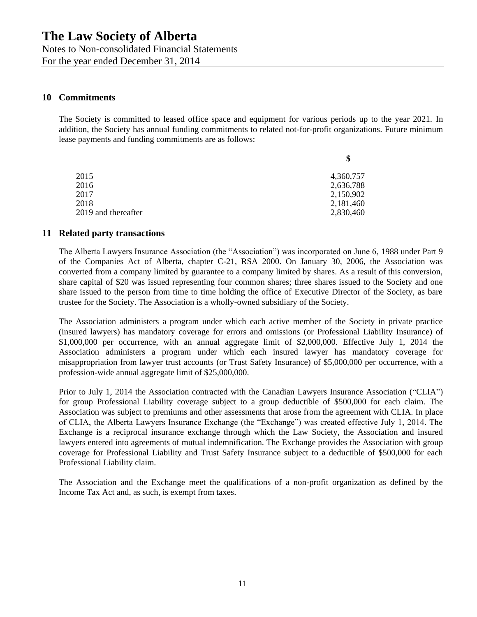Notes to Non-consolidated Financial Statements For the year ended December 31, 2014

# **10 Commitments**

The Society is committed to leased office space and equipment for various periods up to the year 2021. In addition, the Society has annual funding commitments to related not-for-profit organizations. Future minimum lease payments and funding commitments are as follows:

| 2015<br>2016<br>2017<br>2018 | \$        |
|------------------------------|-----------|
|                              | 4,360,757 |
|                              | 2,636,788 |
|                              | 2,150,902 |
|                              | 2,181,460 |
| 2019 and thereafter          | 2,830,460 |

## **11 Related party transactions**

The Alberta Lawyers Insurance Association (the "Association") was incorporated on June 6, 1988 under Part 9 of the Companies Act of Alberta, chapter C-21, RSA 2000. On January 30, 2006, the Association was converted from a company limited by guarantee to a company limited by shares. As a result of this conversion, share capital of \$20 was issued representing four common shares; three shares issued to the Society and one share issued to the person from time to time holding the office of Executive Director of the Society, as bare trustee for the Society. The Association is a wholly-owned subsidiary of the Society.

The Association administers a program under which each active member of the Society in private practice (insured lawyers) has mandatory coverage for errors and omissions (or Professional Liability Insurance) of \$1,000,000 per occurrence, with an annual aggregate limit of \$2,000,000. Effective July 1, 2014 the Association administers a program under which each insured lawyer has mandatory coverage for misappropriation from lawyer trust accounts (or Trust Safety Insurance) of \$5,000,000 per occurrence, with a profession-wide annual aggregate limit of \$25,000,000.

Prior to July 1, 2014 the Association contracted with the Canadian Lawyers Insurance Association ("CLIA") for group Professional Liability coverage subject to a group deductible of \$500,000 for each claim. The Association was subject to premiums and other assessments that arose from the agreement with CLIA. In place of CLIA, the Alberta Lawyers Insurance Exchange (the "Exchange") was created effective July 1, 2014. The Exchange is a reciprocal insurance exchange through which the Law Society, the Association and insured lawyers entered into agreements of mutual indemnification. The Exchange provides the Association with group coverage for Professional Liability and Trust Safety Insurance subject to a deductible of \$500,000 for each Professional Liability claim.

The Association and the Exchange meet the qualifications of a non-profit organization as defined by the Income Tax Act and, as such, is exempt from taxes.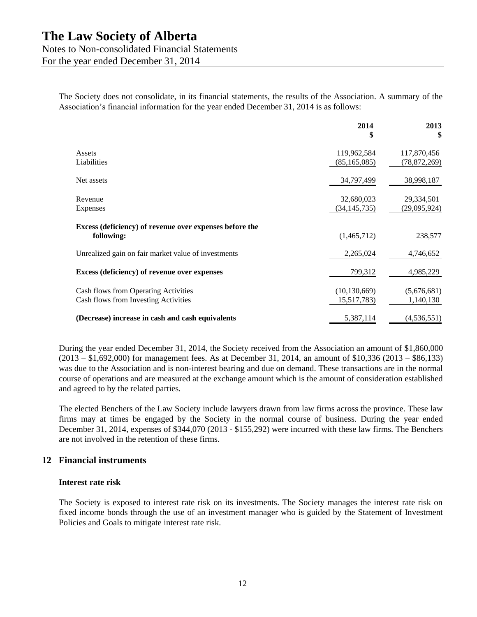For the year ended December 31, 2014

The Society does not consolidate, in its financial statements, the results of the Association. A summary of the Association's financial information for the year ended December 31, 2014 is as follows:

|                                                                              | 2014<br>\$                    | 2013<br>\$                    |
|------------------------------------------------------------------------------|-------------------------------|-------------------------------|
| Assets<br>Liabilities                                                        | 119,962,584<br>(85, 165, 085) | 117,870,456<br>(78, 872, 269) |
| Net assets                                                                   | 34,797,499                    | 38,998,187                    |
| Revenue<br>Expenses                                                          | 32,680,023<br>(34, 145, 735)  | 29,334,501<br>(29,095,924)    |
| Excess (deficiency) of revenue over expenses before the<br>following:        | (1,465,712)                   | 238,577                       |
| Unrealized gain on fair market value of investments                          | 2,265,024                     | 4,746,652                     |
| Excess (deficiency) of revenue over expenses                                 | 799,312                       | 4,985,229                     |
| Cash flows from Operating Activities<br>Cash flows from Investing Activities | (10, 130, 669)<br>15,517,783) | (5,676,681)<br>1,140,130      |
| (Decrease) increase in cash and cash equivalents                             | 5,387,114                     | (4, 536, 551)                 |

During the year ended December 31, 2014, the Society received from the Association an amount of \$1,860,000 (2013 – \$1,692,000) for management fees. As at December 31, 2014, an amount of \$10,336 (2013 – \$86,133) was due to the Association and is non-interest bearing and due on demand. These transactions are in the normal course of operations and are measured at the exchange amount which is the amount of consideration established and agreed to by the related parties.

The elected Benchers of the Law Society include lawyers drawn from law firms across the province. These law firms may at times be engaged by the Society in the normal course of business. During the year ended December 31, 2014, expenses of \$344,070 (2013 - \$155,292) were incurred with these law firms. The Benchers are not involved in the retention of these firms.

# **12 Financial instruments**

#### **Interest rate risk**

The Society is exposed to interest rate risk on its investments. The Society manages the interest rate risk on fixed income bonds through the use of an investment manager who is guided by the Statement of Investment Policies and Goals to mitigate interest rate risk.